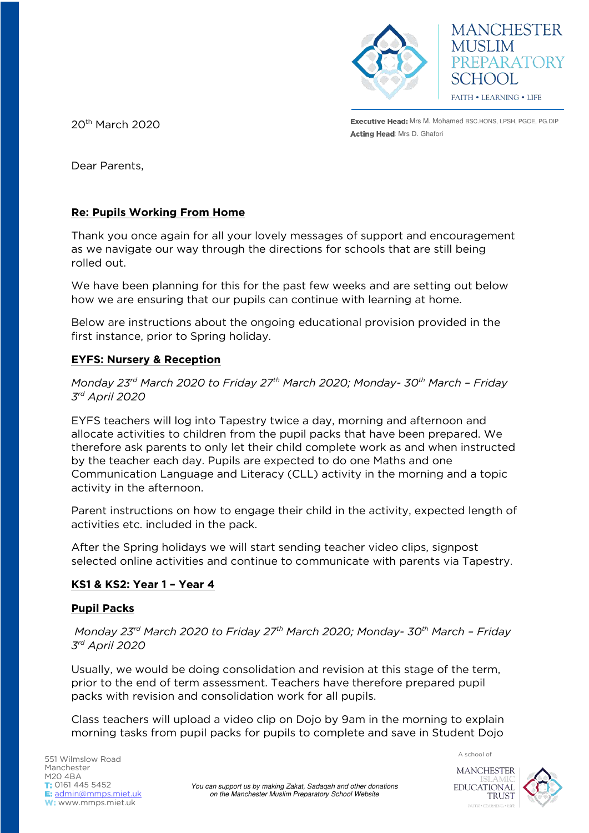



20<sup>th</sup> March 2020

Executive Head: Mrs M. Mohamed BSC.HONS, LPSH, PGCE, PG.DIP Acting Head: Mrs D. Ghafori

Dear Parents,

# **Re: Pupils Working From Home**

Thank you once again for all your lovely messages of support and encouragement as we navigate our way through the directions for schools that are still being rolled out.

We have been planning for this for the past few weeks and are setting out below how we are ensuring that our pupils can continue with learning at home.

Below are instructions about the ongoing educational provision provided in the first instance, prior to Spring holiday.

## **EYFS: Nursery & Reception**

*Monday 23rd March 2020 to Friday 27th March 2020; Monday- 30th March – Friday 3 rd April 2020* 

EYFS teachers will log into Tapestry twice a day, morning and afternoon and allocate activities to children from the pupil packs that have been prepared. We therefore ask parents to only let their child complete work as and when instructed by the teacher each day. Pupils are expected to do one Maths and one Communication Language and Literacy (CLL) activity in the morning and a topic activity in the afternoon.

Parent instructions on how to engage their child in the activity, expected length of activities etc. included in the pack.

After the Spring holidays we will start sending teacher video clips, signpost selected online activities and continue to communicate with parents via Tapestry.

## **KS1 & KS2: Year 1 – Year 4**

## **Pupil Packs**

 *Monday 23rd March 2020 to Friday 27th March 2020; Monday- 30th March – Friday 3 rd April 2020* 

Usually, we would be doing consolidation and revision at this stage of the term, prior to the end of term assessment. Teachers have therefore prepared pupil packs with revision and consolidation work for all pupils.

Class teachers will upload a video clip on Dojo by 9am in the morning to explain morning tasks from pupil packs for pupils to complete and save in Student Dojo

**MANCHESTER EDUCATIONAL TRUST**